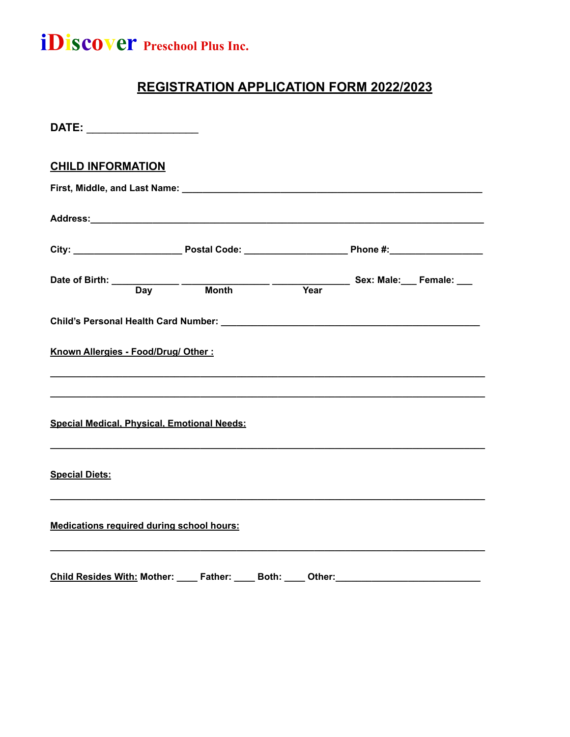

# **REGISTRATION APPLICATION FORM 2022/2023**

| DATE: ________________________                                                                       |  |  |  |  |  |
|------------------------------------------------------------------------------------------------------|--|--|--|--|--|
| <b>CHILD INFORMATION</b>                                                                             |  |  |  |  |  |
|                                                                                                      |  |  |  |  |  |
| Address: Address: Address: Address: Address: Address: Address: Address: Address: Address: Address: A |  |  |  |  |  |
|                                                                                                      |  |  |  |  |  |
|                                                                                                      |  |  |  |  |  |
| Date of Birth: <u>Day Month</u> Month Year Sex: Male: Female: __                                     |  |  |  |  |  |
| Known Allergies - Food/Drug/ Other:                                                                  |  |  |  |  |  |
| Special Medical, Physical, Emotional Needs:                                                          |  |  |  |  |  |
| <b>Special Diets:</b>                                                                                |  |  |  |  |  |
| <b>Medications required during school hours:</b>                                                     |  |  |  |  |  |
| <u>Child Resides With:</u> Mother: _____ Father: _____ Both: _____ Other: __________________         |  |  |  |  |  |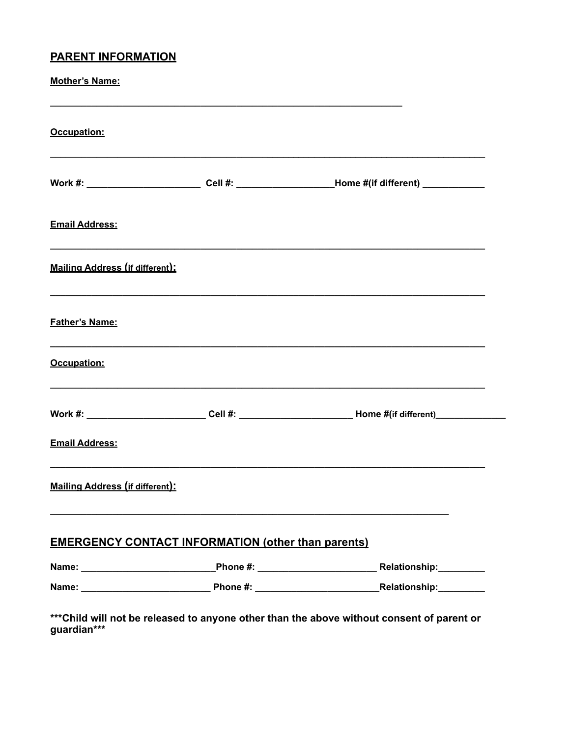# **PARENT INFORMATION**

| <b>Mother's Name:</b>                  |                                                           |                                                                                                            |
|----------------------------------------|-----------------------------------------------------------|------------------------------------------------------------------------------------------------------------|
| Occupation:                            |                                                           |                                                                                                            |
|                                        |                                                           | Work #: ____________________________Cell #: _______________________Home #(if different) ____________       |
| <b>Email Address:</b>                  |                                                           |                                                                                                            |
| <b>Mailing Address (if different):</b> |                                                           |                                                                                                            |
| <b>Father's Name:</b>                  |                                                           |                                                                                                            |
| Occupation:                            |                                                           |                                                                                                            |
|                                        |                                                           | Work #: ___________________________Cell #: ______________________________Home #(if different)_____________ |
| <b>Email Address:</b>                  |                                                           |                                                                                                            |
| <b>Mailing Address (if different):</b> |                                                           |                                                                                                            |
|                                        | <b>EMERGENCY CONTACT INFORMATION (other than parents)</b> |                                                                                                            |
|                                        |                                                           |                                                                                                            |
|                                        |                                                           |                                                                                                            |

\*\*\*Child will not be released to anyone other than the above without consent of parent or guardian\*\*\*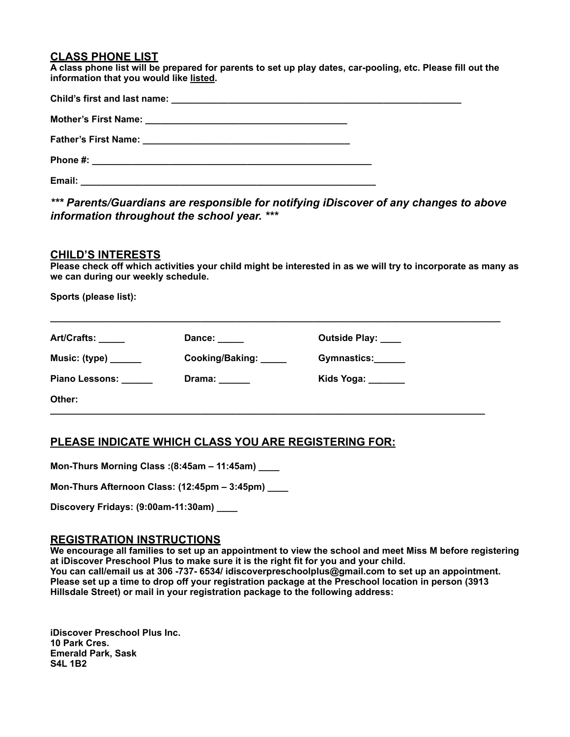#### **CLASS PHONE LIST**

**A class phone list will be prepared for parents to set up play dates, car-pooling, etc. Please fill out the information that you would like listed.** 

| Email: |  |
|--------|--|

*\*\*\* Parents/Guardians are responsible for notifying iDiscover of any changes to above information throughout the school year. \*\*\** 

#### **CHILD'S INTERESTS**

**Please check off which activities your child might be interested in as we will try to incorporate as many as we can during our weekly schedule.**

**Sports (please list):**

| Dance: _____          | Outside Play: ____ |
|-----------------------|--------------------|
| Cooking/Baking: _____ | Gymnastics:______  |
| Drama: ______         | Kids Yoga: _______ |
|                       |                    |
|                       |                    |

**\_\_\_\_\_\_\_\_\_\_\_\_\_\_\_\_\_\_\_\_\_\_\_\_\_\_\_\_\_\_\_\_\_\_\_\_\_\_\_\_\_\_\_\_\_\_\_\_\_\_\_\_\_\_\_\_\_\_\_\_\_\_\_\_\_\_\_\_\_\_\_\_\_\_\_\_\_\_\_\_\_\_\_\_\_\_\_**

## **PLEASE INDICATE WHICH CLASS YOU ARE REGISTERING FOR:**

**Mon-Thurs Morning Class :(8:45am – 11:45am) \_\_\_\_** 

**Mon-Thurs Afternoon Class: (12:45pm – 3:45pm) \_\_\_\_** 

**Discovery Fridays: (9:00am-11:30am) \_\_\_\_**

#### **REGISTRATION INSTRUCTIONS**

**We encourage all families to set up an appointment to view the school and meet Miss M before registering at iDiscover Preschool Plus to make sure it is the right fit for you and your child. You can call/email us at 306 -737- 6534/ idiscoverpreschoolplus@gmail.com to set up an appointment. Please set up a time to drop off your registration package at the Preschool location in person (3913 Hillsdale Street) or mail in your registration package to the following address:**

**iDiscover Preschool Plus Inc. 10 Park Cres. Emerald Park, Sask S4L 1B2**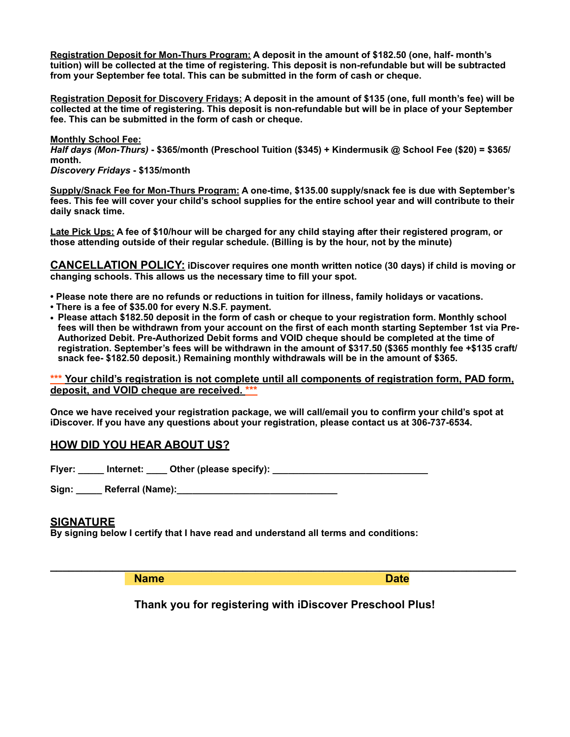**Registration Deposit for Mon-Thurs Program: A deposit in the amount of \$182.50 (one, half- month's tuition) will be collected at the time of registering. This deposit is non-refundable but will be subtracted from your September fee total. This can be submitted in the form of cash or cheque.** 

**Registration Deposit for Discovery Fridays: A deposit in the amount of \$135 (one, full month's fee) will be collected at the time of registering. This deposit is non-refundable but will be in place of your September fee. This can be submitted in the form of cash or cheque.**

**Monthly School Fee:**  *Half days (Mon-Thurs)* **- \$365/month (Preschool Tuition (\$345) + Kindermusik @ School Fee (\$20) = \$365/ month.** *Discovery Fridays* **- \$135/month**

**Supply/Snack Fee for Mon-Thurs Program: A one-time, \$135.00 supply/snack fee is due with September's fees. This fee will cover your child's school supplies for the entire school year and will contribute to their daily snack time.**

**Late Pick Ups: A fee of \$10/hour will be charged for any child staying after their registered program, or those attending outside of their regular schedule. (Billing is by the hour, not by the minute)**

**CANCELLATION POLICY: iDiscover requires one month written notice (30 days) if child is moving or changing schools. This allows us the necessary time to fill your spot.**

- **Please note there are no refunds or reductions in tuition for illness, family holidays or vacations.**
- **There is a fee of \$35.00 for every N.S.F. payment.**
- **• Please attach \$182.50 deposit in the form of cash or cheque to your registration form. Monthly school fees will then be withdrawn from your account on the first of each month starting September 1st via Pre-Authorized Debit. Pre-Authorized Debit forms and VOID cheque should be completed at the time of registration. September's fees will be withdrawn in the amount of \$317.50 (\$365 monthly fee +\$135 craft/ snack fee- \$182.50 deposit.) Remaining monthly withdrawals will be in the amount of \$365.**

**\*\*\* Your child's registration is not complete until all components of registration form, PAD form, deposit, and VOID cheque are received. \*\*\***

**Once we have received your registration package, we will call/email you to confirm your child's spot at iDiscover. If you have any questions about your registration, please contact us at 306-737-6534.**

#### **HOW DID YOU HEAR ABOUT US?**

Flyer: **\_\_\_\_\_** Internet: **\_\_\_\_** Other (please specify): \_\_\_\_\_\_\_\_\_\_\_\_\_\_\_\_\_\_\_\_\_\_\_\_\_

Sign: Referral (Name):

#### **SIGNATURE**

**By signing below I certify that I have read and understand all terms and conditions:**

 **Name Date**

**Thank you for registering with iDiscover Preschool Plus!** 

**\_\_\_\_\_\_\_\_\_\_\_\_\_\_\_\_\_\_\_\_\_\_\_\_\_\_\_\_\_\_\_\_\_\_\_\_\_\_\_\_\_\_\_\_\_\_\_\_\_\_\_\_\_\_\_\_\_\_\_\_\_\_\_\_\_\_\_\_\_\_\_\_\_\_\_**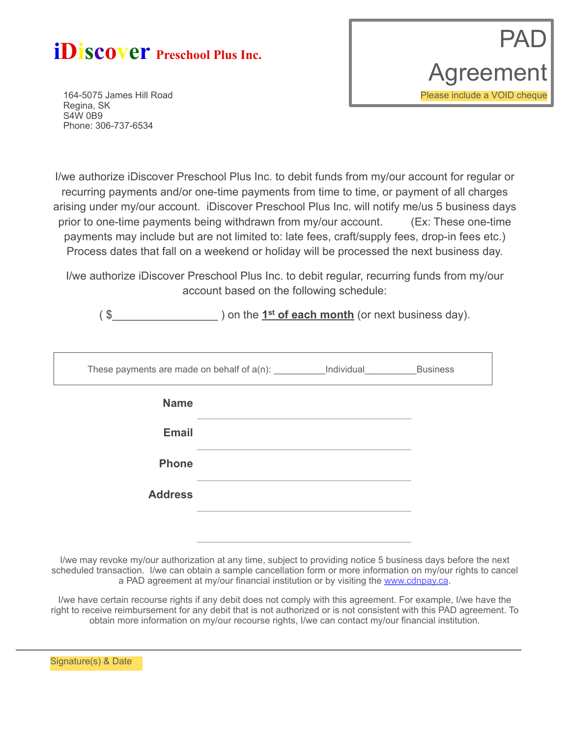# **iDiscover** Preschool Plus Inc.

Regina, SK S4W 0B9 Phone: 306-737-6534

I/we authorize iDiscover Preschool Plus Inc. to debit funds from my/our account for regular or recurring payments and/or one-time payments from time to time, or payment of all charges arising under my/our account. iDiscover Preschool Plus Inc. will notify me/us 5 business days prior to one-time payments being withdrawn from my/our account. (Ex: These one-time payments may include but are not limited to: late fees, craft/supply fees, drop-in fees etc.) Process dates that fall on a weekend or holiday will be processed the next business day.

I/we authorize iDiscover Preschool Plus Inc. to debit regular, recurring funds from my/our account based on the following schedule:

(  $\$   $\qquad \qquad$  ) on the **1<sup>st</sup> of each month** (or next business day).

| These payments are made on behalf of a(n): ________________Individual___________ |  | <b>Business</b> |
|----------------------------------------------------------------------------------|--|-----------------|
| <b>Name</b>                                                                      |  |                 |
| <b>Email</b>                                                                     |  |                 |
| <b>Phone</b>                                                                     |  |                 |
| <b>Address</b>                                                                   |  |                 |
|                                                                                  |  |                 |

I/we may revoke my/our authorization at any time, subject to providing notice 5 business days before the next scheduled transaction. I/we can obtain a sample cancellation form or more information on my/our rights to cancel a PAD agreement at my/our financial institution or by visiting the [www.cdnpay.ca.](http://www.cdnpay.ca)

I/we have certain recourse rights if any debit does not comply with this agreement. For example, I/we have the right to receive reimbursement for any debit that is not authorized or is not consistent with this PAD agreement. To obtain more information on my/our recourse rights, I/we can contact my/our financial institution.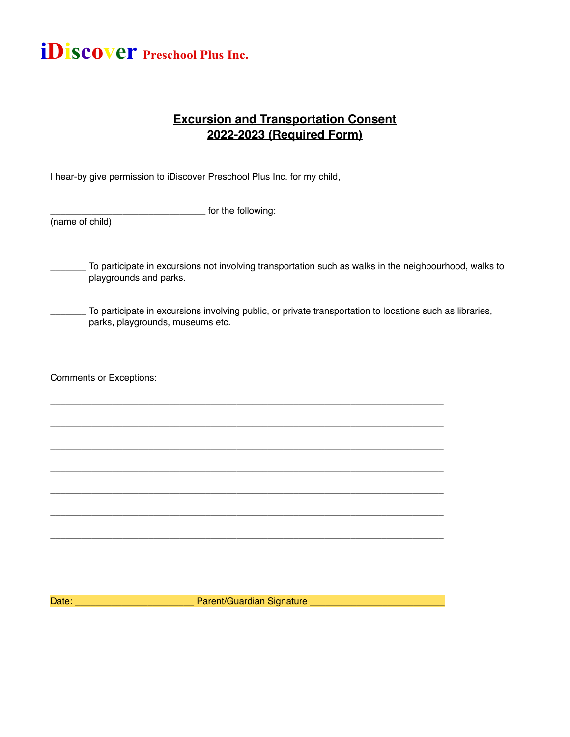

# **Excursion and Transportation Consent 2022-2023 (Required Form)**

I hear-by give permission to iDiscover Preschool Plus Inc. for my child,

\_\_\_\_\_\_\_\_\_\_\_\_\_\_\_\_\_\_\_\_\_\_\_\_\_\_\_\_\_\_ for the following: (name of child)

\_\_\_\_\_\_\_ To participate in excursions not involving transportation such as walks in the neighbourhood, walks to playgrounds and parks.

\_\_\_\_\_\_\_ To participate in excursions involving public, or private transportation to locations such as libraries, parks, playgrounds, museums etc.

Comments or Exceptions:

Date: \_\_\_\_\_\_\_\_\_\_\_\_\_\_\_\_\_\_\_\_\_\_\_ Parent/Guardian Signature \_\_\_\_\_\_\_\_\_\_\_\_\_\_\_\_\_\_\_\_\_\_\_\_\_\_

\_\_\_\_\_\_\_\_\_\_\_\_\_\_\_\_\_\_\_\_\_\_\_\_\_\_\_\_\_\_\_\_\_\_\_\_\_\_\_\_\_\_\_\_\_\_\_\_\_\_\_\_\_\_\_\_\_\_\_\_\_\_\_\_\_\_\_\_\_\_\_\_\_\_\_\_

\_\_\_\_\_\_\_\_\_\_\_\_\_\_\_\_\_\_\_\_\_\_\_\_\_\_\_\_\_\_\_\_\_\_\_\_\_\_\_\_\_\_\_\_\_\_\_\_\_\_\_\_\_\_\_\_\_\_\_\_\_\_\_\_\_\_\_\_\_\_\_\_\_\_\_\_

\_\_\_\_\_\_\_\_\_\_\_\_\_\_\_\_\_\_\_\_\_\_\_\_\_\_\_\_\_\_\_\_\_\_\_\_\_\_\_\_\_\_\_\_\_\_\_\_\_\_\_\_\_\_\_\_\_\_\_\_\_\_\_\_\_\_\_\_\_\_\_\_\_\_\_\_

\_\_\_\_\_\_\_\_\_\_\_\_\_\_\_\_\_\_\_\_\_\_\_\_\_\_\_\_\_\_\_\_\_\_\_\_\_\_\_\_\_\_\_\_\_\_\_\_\_\_\_\_\_\_\_\_\_\_\_\_\_\_\_\_\_\_\_\_\_\_\_\_\_\_\_\_

\_\_\_\_\_\_\_\_\_\_\_\_\_\_\_\_\_\_\_\_\_\_\_\_\_\_\_\_\_\_\_\_\_\_\_\_\_\_\_\_\_\_\_\_\_\_\_\_\_\_\_\_\_\_\_\_\_\_\_\_\_\_\_\_\_\_\_\_\_\_\_\_\_\_\_\_

\_\_\_\_\_\_\_\_\_\_\_\_\_\_\_\_\_\_\_\_\_\_\_\_\_\_\_\_\_\_\_\_\_\_\_\_\_\_\_\_\_\_\_\_\_\_\_\_\_\_\_\_\_\_\_\_\_\_\_\_\_\_\_\_\_\_\_\_\_\_\_\_\_\_\_\_

\_\_\_\_\_\_\_\_\_\_\_\_\_\_\_\_\_\_\_\_\_\_\_\_\_\_\_\_\_\_\_\_\_\_\_\_\_\_\_\_\_\_\_\_\_\_\_\_\_\_\_\_\_\_\_\_\_\_\_\_\_\_\_\_\_\_\_\_\_\_\_\_\_\_\_\_